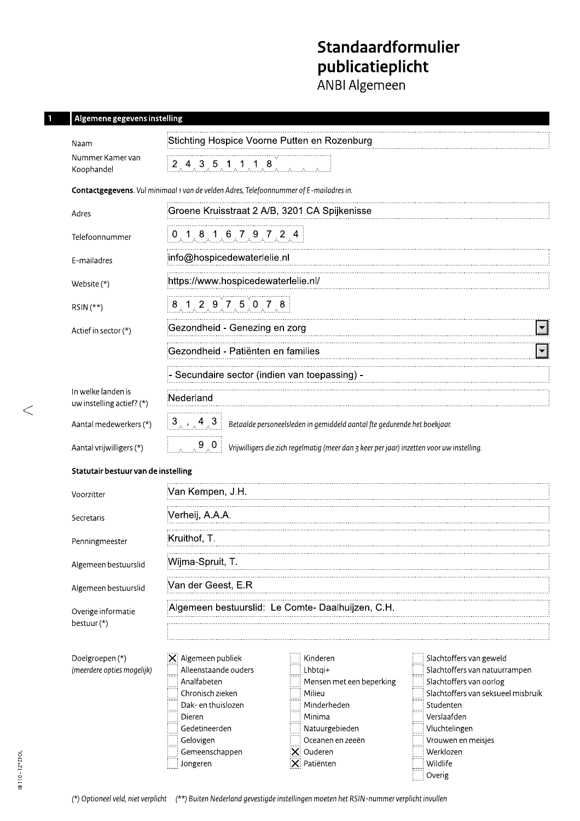# Standaardformulier **publicatieplicht**<br>ANBI Algemeen

# Algemene gegevens instelling

п

| Naam                                            | Stichting Hospice Voorne Putten en Rozenburg                                                                                                                                                                                                                                                                                                                                                                                                                                                                                                                                        |  |  |  |  |  |
|-------------------------------------------------|-------------------------------------------------------------------------------------------------------------------------------------------------------------------------------------------------------------------------------------------------------------------------------------------------------------------------------------------------------------------------------------------------------------------------------------------------------------------------------------------------------------------------------------------------------------------------------------|--|--|--|--|--|
| Nummer Kamer van<br>Koophandel                  | 2, 4, 3, 5, 1, 1, 1, 8                                                                                                                                                                                                                                                                                                                                                                                                                                                                                                                                                              |  |  |  |  |  |
|                                                 | Contactgegevens. Vul minimaal 1 van de velden Adres, Telefoonnummer of E-mailadres in.                                                                                                                                                                                                                                                                                                                                                                                                                                                                                              |  |  |  |  |  |
| Adres                                           | Groene Kruisstraat 2 A/B, 3201 CA Spijkenisse                                                                                                                                                                                                                                                                                                                                                                                                                                                                                                                                       |  |  |  |  |  |
| Telefoonnummer                                  | $0$ 1 8 1 6 7 9 7 2 4                                                                                                                                                                                                                                                                                                                                                                                                                                                                                                                                                               |  |  |  |  |  |
| E-mailadres                                     | info@hospicedewaterlelie.nl                                                                                                                                                                                                                                                                                                                                                                                                                                                                                                                                                         |  |  |  |  |  |
| Website $(*)$                                   | https://www.hospicedewaterlelie.nl/                                                                                                                                                                                                                                                                                                                                                                                                                                                                                                                                                 |  |  |  |  |  |
| $RSIN(**)$                                      | 8 1 2 9 7 5 0 7 8                                                                                                                                                                                                                                                                                                                                                                                                                                                                                                                                                                   |  |  |  |  |  |
| Actief in sector (*)                            | Gezondheid - Genezing en zorg                                                                                                                                                                                                                                                                                                                                                                                                                                                                                                                                                       |  |  |  |  |  |
|                                                 | Gezondheid - Patiënten en families                                                                                                                                                                                                                                                                                                                                                                                                                                                                                                                                                  |  |  |  |  |  |
|                                                 | Secundaire sector (indien van toepassing) -                                                                                                                                                                                                                                                                                                                                                                                                                                                                                                                                         |  |  |  |  |  |
| In welke landen is<br>uw instelling actief? (*) | :Nederland                                                                                                                                                                                                                                                                                                                                                                                                                                                                                                                                                                          |  |  |  |  |  |
| Aantal medewerkers (*)                          | $\begin{bmatrix} 3 \end{bmatrix}$ , 4 3<br>Betaalde personeelsleden in gemiddeld aantal fte gedurende het boekjaar.                                                                                                                                                                                                                                                                                                                                                                                                                                                                 |  |  |  |  |  |
| Aantal vrijwilligers (*)                        | $\begin{bmatrix} 0 & 0 \\ 0 & 0 \end{bmatrix}$<br>Vrijwilligers die zich regelmatig (meer dan 3 keer per jaar) inzetten voor uw instelling.                                                                                                                                                                                                                                                                                                                                                                                                                                         |  |  |  |  |  |
| Statutair bestuur van de instelling             |                                                                                                                                                                                                                                                                                                                                                                                                                                                                                                                                                                                     |  |  |  |  |  |
| Voorzitter                                      | Van Kempen, J.H.                                                                                                                                                                                                                                                                                                                                                                                                                                                                                                                                                                    |  |  |  |  |  |
| Secretaris                                      | :Verheij, A.A.A.                                                                                                                                                                                                                                                                                                                                                                                                                                                                                                                                                                    |  |  |  |  |  |
| Penningmeester                                  | :Kruithof, T.                                                                                                                                                                                                                                                                                                                                                                                                                                                                                                                                                                       |  |  |  |  |  |
| Algemeen bestuurslid                            | Wijma-Spruit, T.                                                                                                                                                                                                                                                                                                                                                                                                                                                                                                                                                                    |  |  |  |  |  |
| Algemeen bestuurslid                            | Van der Geest, E.R                                                                                                                                                                                                                                                                                                                                                                                                                                                                                                                                                                  |  |  |  |  |  |
| Overige informatie<br>bestuur (*)               | Algemeen bestuurslid:<br>Le Comte-Daalhuijzen, C.H.                                                                                                                                                                                                                                                                                                                                                                                                                                                                                                                                 |  |  |  |  |  |
|                                                 |                                                                                                                                                                                                                                                                                                                                                                                                                                                                                                                                                                                     |  |  |  |  |  |
| Doelgroepen (*)<br>(meerdere opties mogelijk)   | X: Algemeen publiek<br>Kinderen<br>Slachtoffers van geweld<br>Alleenstaande ouders<br>Slachtoffers van natuurrampen<br>Lhbtqi+<br>Analfabeten<br>Slachtoffers van oorlog<br>Mensen met een beperking<br>Slachtoffers van seksueel misbruik<br>Chronisch zieken<br>Milieu<br>Dak- en thuislozen<br>Minderheden<br>Studenten<br>Verslaafden<br>Minima<br>Dieren<br>Gedetineerden<br>Vluchtelingen<br>Natuurgebieden<br>Vrouwen en meisjes<br>Gelovigen<br>Oceanen en zeeën<br>X: Ouderen<br>Werklozen<br>Gemeenschappen<br>$ \mathsf{X} $ Patiënten<br>Wildlife<br>Jongeren<br>Overig |  |  |  |  |  |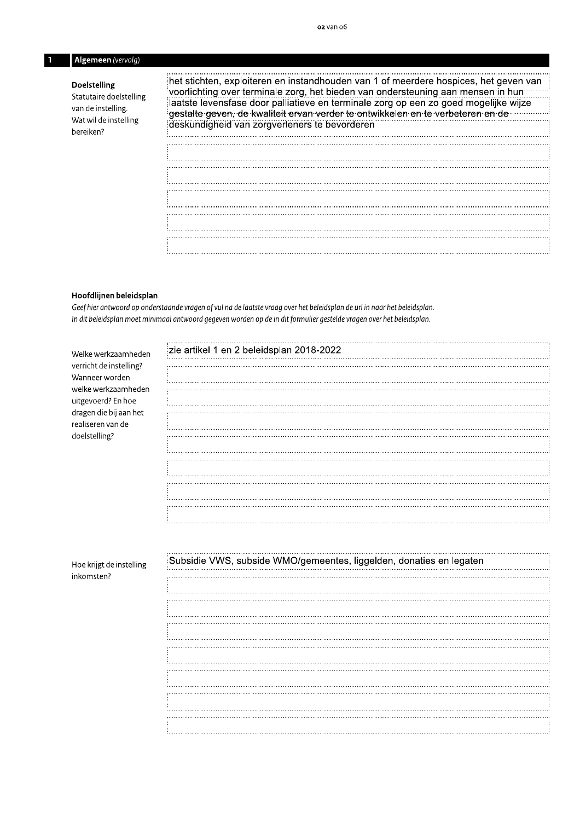## Algemeen (vervolg)

#### **Doelstelling**

Statutaire doelstelling van de instelling. Wat wil de instelling bereiken?

het stichten, exploiteren en instandhouden van 1 of meerdere hospices, het geven van voorlichting over terminale zorg, het bieden van ondersteuning aan mensen in hun laatste levensfase door palliatieve en terminale zorg op een zo goed mogelijke wijze gestalte geven, de kwaliteit ervan verder te ontwikkelen en te verbeteren en de .... deskundigheid van zorgverleners te bevorderen 

#### Hoofdlijnen beleidsplan

Geef hier antwoord op onderstaande vragen of vul na de laatste vraag over het beleidsplan de url in naar het beleidsplan. In dit beleidsplan moet minimaal antwoord gegeven worden op de in dit formulier gestelde vragen over het beleidsplan.

| Welke werkzaamheden                          | zie artikel 1 en 2 beleidsplan 2018-2022                            |
|----------------------------------------------|---------------------------------------------------------------------|
| verricht de instelling?<br>Wanneer worden    |                                                                     |
| welke werkzaamheden                          |                                                                     |
| uitgevoerd? En hoe<br>dragen die bij aan het |                                                                     |
| realiseren van de<br>doelstelling?           |                                                                     |
|                                              |                                                                     |
|                                              |                                                                     |
|                                              |                                                                     |
|                                              |                                                                     |
|                                              |                                                                     |
|                                              |                                                                     |
|                                              |                                                                     |
| Hoe krijgt de instelling                     | Subsidie VWS, subside WMO/gemeentes, liggelden, donaties en legaten |
| inkomsten?                                   |                                                                     |
|                                              |                                                                     |
|                                              |                                                                     |
|                                              |                                                                     |
|                                              |                                                                     |
|                                              |                                                                     |
|                                              |                                                                     |
|                                              |                                                                     |
|                                              |                                                                     |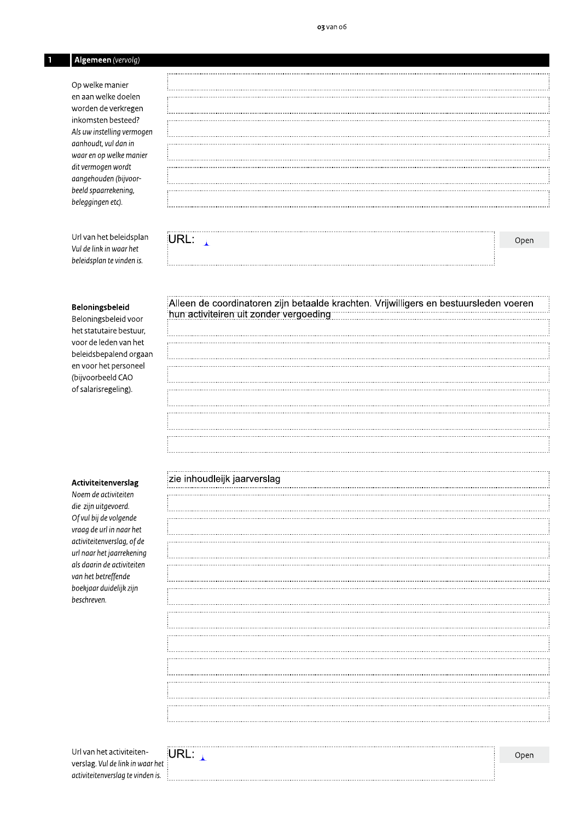## Algemeen (vervolg)

Op welke manier en aan welke doelen worden de verkregen inkomsten besteed? Als uw instelling vermogen aanhoudt, vul dan in waar en op welke manier dit vermogen wordt aangehouden (bijvoorbeeld spaarrekening, beleggingen etc).

Url van het beleidsplan Vul de link in waar het beleidsplan te vinden is.

#### Beloningsbeleid

Beloningsbeleid voor het statutaire bestuur, voor de leden van het beleidsbepalend orgaan en voor het personeel (bijvoorbeeld CAO of salarisregeling).

#### Activiteitenverslag

Noem de activiteiten die zijn uitgevoerd. Of vul bij de volgende vraag de url in naar het activiteitenverslag, of de url naar het jaarrekening als daarin de activiteiten van het betreffende boekjaar duidelijk zijn beschreven.

URL:  $\mathbf{A}$ 

# Alleen de coordinatoren zijn betaalde krachten. Vrijwilligers en bestuursleden voeren hun activiteiren uit zonder vergoeding

#### zie inhoudleijk jaarverslag

Url van het activiteitenverslag. Vul de link in waar het activiteitenverslag te vinden is.



Open

Open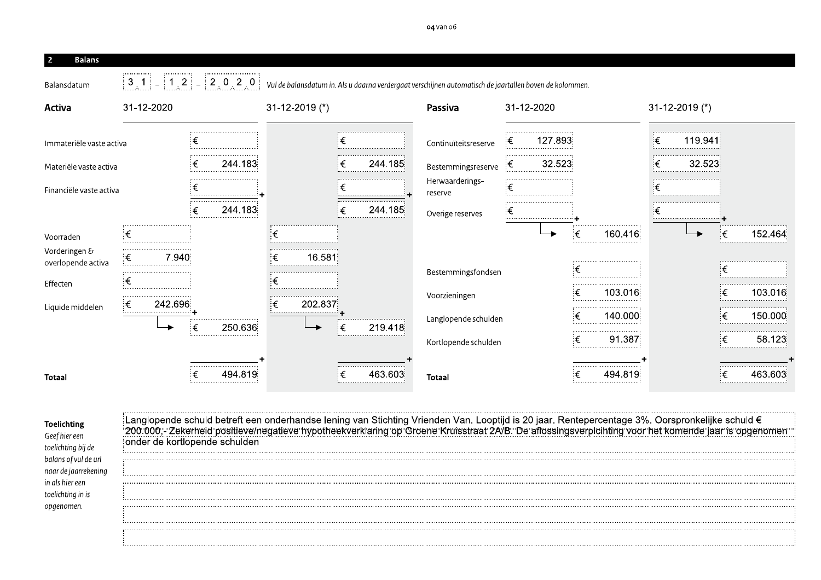| $3 \t1 \t-1 \t1 \t2 \t-2 \t0 \t2 \t0$<br>31-12-2020 | Vul de balansdatum in. Als u daarna verdergaat verschijnen automatisch de jaartallen boven de kolommen. |                            |                       |                                                                                                                                                                                                                                                                                                                                                                             |
|-----------------------------------------------------|---------------------------------------------------------------------------------------------------------|----------------------------|-----------------------|-----------------------------------------------------------------------------------------------------------------------------------------------------------------------------------------------------------------------------------------------------------------------------------------------------------------------------------------------------------------------------|
|                                                     |                                                                                                         |                            |                       |                                                                                                                                                                                                                                                                                                                                                                             |
|                                                     |                                                                                                         |                            |                       |                                                                                                                                                                                                                                                                                                                                                                             |
|                                                     | $31-12-2019$ (*)                                                                                        | Passiva                    | 31-12-2020            | $31-12-2019$ (*)                                                                                                                                                                                                                                                                                                                                                            |
| ξ                                                   | $\epsilon$                                                                                              | Continuïteitsreserve       | 127.893<br>€          | ξ<br>119.941                                                                                                                                                                                                                                                                                                                                                                |
| 244.183<br>€                                        | ็€<br>244.185                                                                                           |                            | 32.523                | 32.523<br>€                                                                                                                                                                                                                                                                                                                                                                 |
| €                                                   | €                                                                                                       | Herwaarderings-<br>reserve | ็€                    | €                                                                                                                                                                                                                                                                                                                                                                           |
| 244.183<br>€                                        | 244.185<br>$\epsilon$                                                                                   | Overige reserves           | €                     | €                                                                                                                                                                                                                                                                                                                                                                           |
| ็€                                                  | $\in$                                                                                                   |                            | $\epsilon$<br>160.416 | 152.464<br>ξ€<br>$\rightarrow$                                                                                                                                                                                                                                                                                                                                              |
| €<br>7.940                                          | $\in$<br>16.581                                                                                         |                            |                       | €                                                                                                                                                                                                                                                                                                                                                                           |
| ็€                                                  | $\in$                                                                                                   |                            |                       | ξ€<br>103.016                                                                                                                                                                                                                                                                                                                                                               |
| €<br>242.696                                        | $\in$<br>202.837                                                                                        |                            |                       | €<br>150.000                                                                                                                                                                                                                                                                                                                                                                |
| 250.636<br>€⊧<br>$\blacktriangleright$              | 219.418<br>€                                                                                            |                            | ξ€                    | ξ€<br>58.123                                                                                                                                                                                                                                                                                                                                                                |
|                                                     |                                                                                                         |                            |                       |                                                                                                                                                                                                                                                                                                                                                                             |
| 494.819                                             | 463.603<br>$\epsilon$                                                                                   | Totaal                     | 494.819<br>€          | 463.603<br>€                                                                                                                                                                                                                                                                                                                                                                |
|                                                     | onder de kortlopende schulden                                                                           |                            | Voorzieningen         | Bestemmingsreserve<br>€<br>Bestemmingsfondsen<br>€<br>103.016<br>€<br>140.000<br>Langlopende schulden<br>91.387<br>Kortlopende schulden<br>Langlopende schuld betreft een onderhandse lening van Stichting Vrienden Van. Looptijd is 20 jaar. Rentepercentage 3%. Oorspronkelijke schuld €<br>200.000,- Zekerheid positieve/negatieve hypotheekverklaring op Groene Kruisst |

| Geef hier een        |
|----------------------|
| toelichtina bij de   |
| balans of vul de url |
| naar de jaarrekening |
| in als hier een      |
| toelichting in is    |
| opgenomen.           |

|          |  | etreft een onderhandse lening van Stichting Vrienden Van. Looptijd is 20 jaar. Rentepercentage 3%. Oorspronkelijke<br>positieve/negatieve hypotheekverklaring op Groene Kruisstraat 2A/B. De aflossingsverplcihting voor het kome |  |
|----------|--|-----------------------------------------------------------------------------------------------------------------------------------------------------------------------------------------------------------------------------------|--|
| schulder |  |                                                                                                                                                                                                                                   |  |
|          |  |                                                                                                                                                                                                                                   |  |
|          |  |                                                                                                                                                                                                                                   |  |
|          |  |                                                                                                                                                                                                                                   |  |
|          |  |                                                                                                                                                                                                                                   |  |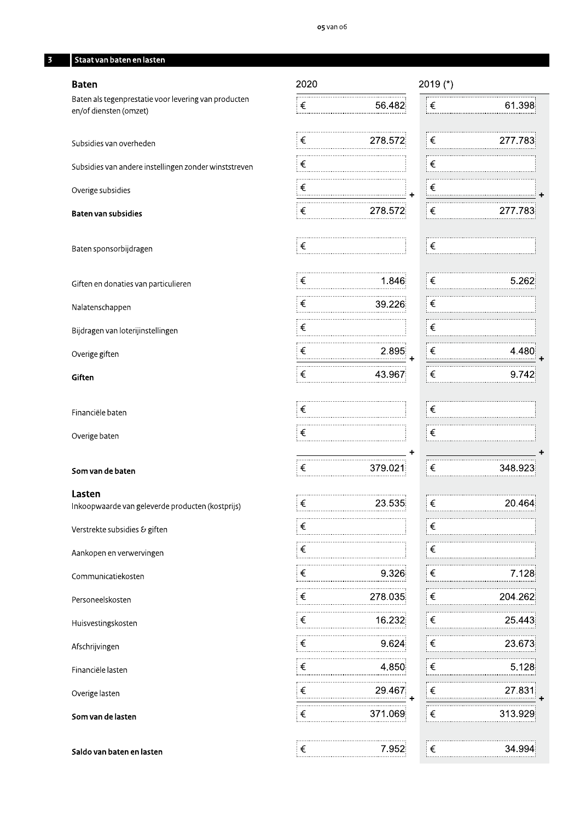#### Staat van baten en lasten

### **Baten**

Baten als tegenprestatie voor levering van producten en/of diensten (omzet)

Subsidies van andere instellingen zonder winststreven

Overige subsidies

#### Baten van subsidies

Subsidies van overheden

Baten sponsorbijdragen

Giften en donaties van particulieren

Nalatenschappen

Bijdragen van loterijinstellingen

Overige giften

Giften

Financiële baten

Overige baten

#### Som van de baten

Lasten

Inkoopwaarde van geleverde producten (kostprijs)

Verstrekte subsidies & giften

Aankopen en verwervingen

Communicatiekosten

Personeelskosten

Huisvestingskosten

Afschrijvingen

Financiële lasten

Overige lasten

Som van de lasten

Saldo van baten en lasten

| 2020       |         | 2019 (*)              |         |
|------------|---------|-----------------------|---------|
| ∶€         | 56.482  | €                     | 61.398  |
| ∶€         | 278.572 | €                     | 277.783 |
|            |         | €                     |         |
| €          |         | €                     |         |
| ∶€         | 278.572 | €                     | 277.783 |
| ∶€         |         | €                     |         |
| ∶€         | 1.846   | €                     | 5.262   |
| ∶€         | 39.226  | €                     |         |
| ⊧€         |         | €                     |         |
| ∶€         | 2.895   | €                     | 4.48    |
| ∶€         | 43.967  | €                     | 9.742   |
| !€         |         | €                     |         |
| $\epsilon$ |         | €                     |         |
| ┊€         | 379.021 | €                     | 348.923 |
| $\epsilon$ | 23.535  | ┊€                    | 20.464  |
| ┊€         |         | €                     |         |
| ∶€         |         | ⊧€                    |         |
| ∶€         | 9.326   | $ \epsilon$           | 7.128   |
| ∶€         | 278.035 | $ \epsilon$           | 204.26  |
| ∶€         | 16.232  | $\epsilon$            | 25.443  |
| ∶€         | 9.624   | $\overline{\epsilon}$ | 23.673  |
| ∶€         | 4.850   | $ \epsilon $          | 5.128   |
| $\epsilon$ | 29.467  | $\epsilon$            | 27.831  |
| $\epsilon$ | 371.069 | ┊€                    | 313.929 |
| ┊€         | 7.952   | $\epsilon$            | 34.994  |